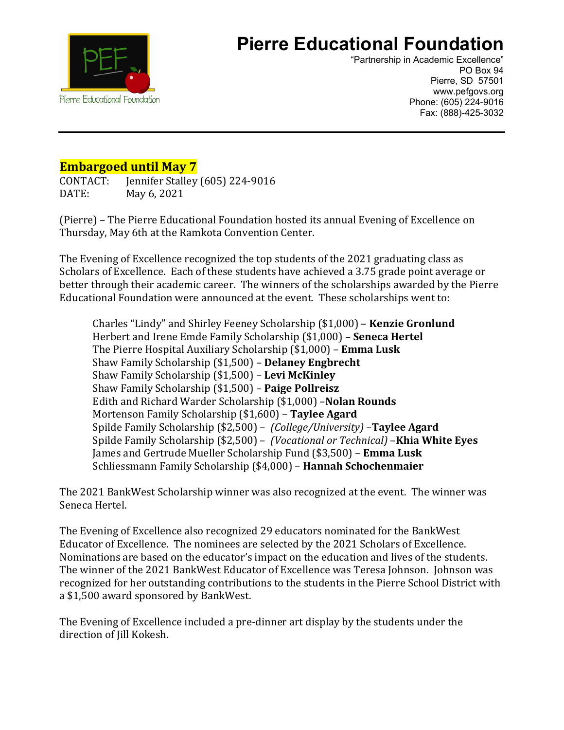

## **Pierre Educational Foundation**

"Partnership in Academic Excellence" PO Box 94 Pierre, SD 57501 www.pefgovs.org Phone: (605) 224-9016 Fax: (888)-425-3032

## **Embargoed until May 7**

CONTACT: Jennifer Stalley (605) 224-9016 May 6, 2021

(Pierre) – The Pierre Educational Foundation hosted its annual Evening of Excellence on Thursday, May 6th at the Ramkota Convention Center.

The Evening of Excellence recognized the top students of the 2021 graduating class as Scholars of Excellence. Each of these students have achieved a 3.75 grade point average or better through their academic career. The winners of the scholarships awarded by the Pierre Educational Foundation were announced at the event. These scholarships went to:

Charles "Lindy" and Shirley Feeney Scholarship (\$1,000) – **Kenzie Gronlund** Herbert and Irene Emde Family Scholarship (\$1,000) – **Seneca Hertel** The Pierre Hospital Auxiliary Scholarship (\$1,000) – **Emma Lusk** Shaw Family Scholarship (\$1,500) – **Delaney Engbrecht** Shaw Family Scholarship (\$1,500) – **Levi McKinley** Shaw Family Scholarship (\$1,500) – **Paige Pollreisz** Edith and Richard Warder Scholarship (\$1,000) –**Nolan Rounds** Mortenson Family Scholarship (\$1,600) – **Taylee Agard** Spilde Family Scholarship (\$2,500) – *(College/University)* –**Taylee Agard** Spilde Family Scholarship (\$2,500) – *(Vocational or Technical)* –**Khia White Eyes** James and Gertrude Mueller Scholarship Fund (\$3,500) – **Emma Lusk** Schliessmann Family Scholarship (\$4,000) – **Hannah Schochenmaier**

The 2021 BankWest Scholarship winner was also recognized at the event. The winner was Seneca Hertel.

The Evening of Excellence also recognized 29 educators nominated for the BankWest Educator of Excellence. The nominees are selected by the 2021 Scholars of Excellence. Nominations are based on the educator's impact on the education and lives of the students. The winner of the 2021 BankWest Educator of Excellence was Teresa Johnson. Johnson was recognized for her outstanding contributions to the students in the Pierre School District with a \$1,500 award sponsored by BankWest.

The Evening of Excellence included a pre-dinner art display by the students under the direction of Jill Kokesh.